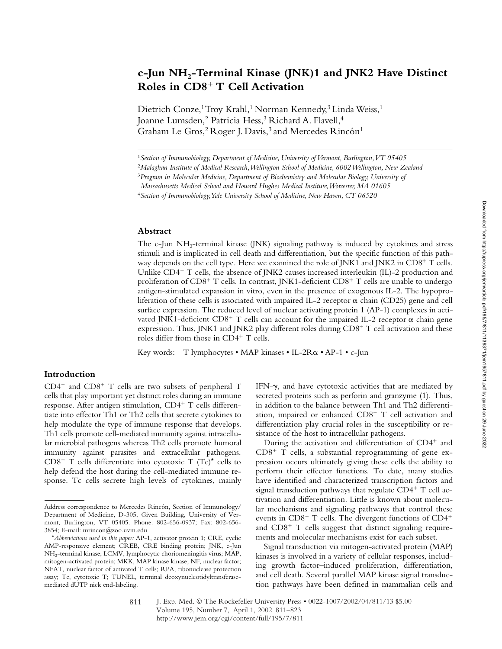# **c-Jun NH2-Terminal Kinase (JNK)1 and JNK2 Have Distinct Roles in CD8**- **T Cell Activation**

Dietrich Conze,<sup>1</sup> Troy Krahl,<sup>1</sup> Norman Kennedy,<sup>3</sup> Linda Weiss,<sup>1</sup> Joanne Lumsden,<sup>2</sup> Patricia Hess,<sup>3</sup> Richard A. Flavell,<sup>4</sup> Graham Le Gros,<sup>2</sup> Roger J. Davis,<sup>3</sup> and Mercedes Rincón<sup>1</sup>

#### **Abstract**

The c-Jun NH<sub>2</sub>-terminal kinase (JNK) signaling pathway is induced by cytokines and stress stimuli and is implicated in cell death and differentiation, but the specific function of this pathway depends on the cell type. Here we examined the role of JNK1 and JNK2 in  $C\text{D}8^+$  T cells. Unlike CD4<sup>+</sup> T cells, the absence of JNK2 causes increased interleukin (IL)-2 production and proliferation of CD8<sup>+</sup> T cells. In contrast, JNK1-deficient CD8<sup>+</sup> T cells are unable to undergo antigen-stimulated expansion in vitro, even in the presence of exogenous IL-2. The hypoproliferation of these cells is associated with impaired IL-2 receptor  $\alpha$  chain (CD25) gene and cell surface expression. The reduced level of nuclear activating protein 1 (AP-1) complexes in activated JNK1-deficient CD8<sup>+</sup> T cells can account for the impaired IL-2 receptor  $\alpha$  chain gene expression. Thus, JNK1 and JNK2 play different roles during CD8<sup>+</sup> T cell activation and these roles differ from those in CD4<sup>+</sup> T cells.

Key words: T lymphocytes • MAP kinases • IL-2R $\alpha$  • AP-1 • c-Jun

# **Introduction**

CD4<sup>+</sup> and CD8<sup>+</sup> T cells are two subsets of peripheral T cells that play important yet distinct roles during an immune response. After antigen stimulation, CD4<sup>+</sup> T cells differentiate into effector Th1 or Th2 cells that secrete cytokines to help modulate the type of immune response that develops. Th1 cells promote cell-mediated immunity against intracellular microbial pathogens whereas Th2 cells promote humoral immunity against parasites and extracellular pathogens. CD8<sup>+</sup> T cells differentiate into cytotoxic T (Tc)<sup>\*</sup> cells to help defend the host during the cell-mediated immune response. Tc cells secrete high levels of cytokines, mainly IFN- $\gamma$ , and have cytotoxic activities that are mediated by secreted proteins such as perforin and granzyme (1). Thus, in addition to the balance between Th1 and Th2 differentiation, impaired or enhanced CD8<sup>+</sup> T cell activation and differentiation play crucial roles in the susceptibility or resistance of the host to intracellular pathogens.

During the activation and differentiation of CD4<sup>+</sup> and  $CD8<sup>+</sup>$  T cells, a substantial reprogramming of gene expression occurs ultimately giving these cells the ability to perform their effector functions. To date, many studies have identified and characterized transcription factors and signal transduction pathways that regulate  $CD4^+$  T cell activation and differentiation. Little is known about molecular mechanisms and signaling pathways that control these events in CD8<sup>+</sup> T cells. The divergent functions of CD4<sup>+</sup> and CD8<sup>+</sup> T cells suggest that distinct signaling requirements and molecular mechanisms exist for each subset.

Signal transduction via mitogen-activated protein (MAP) kinases is involved in a variety of cellular responses, including growth factor–induced proliferation, differentiation, and cell death. Several parallel MAP kinase signal transduction pathways have been defined in mammalian cells and

<sup>1</sup>*Section of Immunobiology, Department of Medicine, University of Vermont, Burlington, VT 05405*

<sup>2</sup>*Malaghan Institute of Medical Research, Wellington School of Medicine, 6002 Wellington, New Zealand*

<sup>3</sup>*Program in Molecular Medicine, Department of Biochemistry and Molecular Biology, University of*

*Massachusetts Medical School and Howard Hughes Medical Institute, Worcester, MA 01605*

<sup>4</sup>*Section of Immunobiology, Yale University School of Medicine, New Haven, CT 06520*

Address correspondence to Mercedes Rincón, Section of Immunology/ Department of Medicine, D-305, Given Building, University of Vermont, Burlington, VT 05405. Phone: 802-656-0937; Fax: 802-656- 3854; E-mail: mrincon@zoo.uvm.edu

<sup>\*</sup>*Abbreviations used in this paper:* AP-1, activator protein 1; CRE, cyclic AMP-responsive element; CREB, CRE binding protein; JNK, c-Jun NH2-terminal kinase; LCMV, lymphocytic choriomeningitis virus; MAP, mitogen-activated protein; MKK, MAP kinase kinase; NF, nuclear factor; NFAT, nuclear factor of activated T cells; RPA, ribonuclease protection assay; Tc, cytotoxic T; TUNEL, terminal deoxynucleotidyltransferasemediated dUTP nick end-labeling.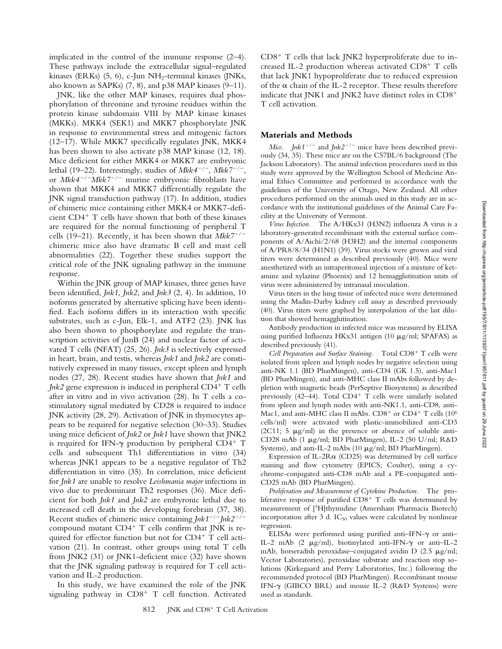implicated in the control of the immune response (2–4). These pathways include the extracellular signal–regulated kinases (ERKs)  $(5, 6)$ , c-Jun NH<sub>2</sub>-terminal kinases (JNKs, also known as SAPKs) (7, 8), and p38 MAP kinases (9–11).

JNK, like the other MAP kinases, requires dual phosphorylation of threonine and tyrosine residues within the protein kinase subdomain VIII by MAP kinase kinases (MKKs). MKK4 (SEK1) and MKK7 phosphorylate JNK in response to environmental stress and mitogenic factors (12–17). While MKK7 specifically regulates JNK, MKK4 has been shown to also activate p38 MAP kinase (12, 18). Mice deficient for either MKK4 or MKK7 are embryonic lethal (19–22). Interestingly, studies of *Mkk4<sup>-/-</sup>*, *Mkk7<sup>-/-</sup>*, or *Mkk4<sup>-/-</sup>Mkk7<sup>-/-</sup>* murine embryonic fibroblasts have shown that MKK4 and MKK7 differentially regulate the JNK signal transduction pathway (17). In addition, studies of chimeric mice containing either MKK4 or MKK7-deficient CD4- T cells have shown that both of these kinases are required for the normal functioning of peripheral T cells (19–21). Recently, it has been shown that  $Mkk7^{-/-}$ chimeric mice also have dramatic B cell and mast cell abnormalities (22). Together these studies support the critical role of the JNK signaling pathway in the immune response.

Within the JNK group of MAP kinases, three genes have been identified, *Jnk1*, *Jnk2*, and *Jnk3* (2, 4). In addition, 10 isoforms generated by alternative splicing have been identified. Each isoform differs in its interaction with specific substrates, such as c-Jun, Elk-1, and ATF2 (23). JNK has also been shown to phosphorylate and regulate the transcription activities of JunB (24) and nuclear factor of activated T cells (NFAT) (25, 26). *Jnk3* is selectively expressed in heart, brain, and testis, whereas *Jnk1* and *Jnk2* are constitutively expressed in many tissues, except spleen and lymph nodes (27, 28). Recent studies have shown that *Jnk1* and *Jnk2* gene expression is induced in peripheral CD4- T cells after in vitro and in vivo activation (28). In T cells a costimulatory signal mediated by CD28 is required to induce JNK activity (28, 29). Activation of JNK in thymocytes appears to be required for negative selection (30–33). Studies using mice deficient of *Jnk2* or *Jnk1* have shown that JNK2 is required for IFN- $\gamma$  production by peripheral CD4<sup>+</sup> T cells and subsequent Th1 differentiation in vitro (34) whereas JNK1 appears to be a negative regulator of Th2 differentiation in vitro (35). In correlation, mice deficient for *Jnk1* are unable to resolve *Leishmania major* infections in vivo due to predominant Th2 responses (36). Mice deficient for both *Jnk1* and *Jnk2* are embyronic lethal due to increased cell death in the developing forebrain (37, 38). Recent studies of chimeric mice containing  $Jnk1^{-/-}Jnk2^{-/-}$ compound mutant  $CD4^+$  T cells confirm that JNK is required for effector function but not for CD4<sup>+</sup> T cell activation (21). In contrast, other groups using total T cells from JNK2 (31) or JNK1-deficient mice (32) have shown that the JNK signaling pathway is required for T cell activation and IL-2 production.

In this study, we have examined the role of the JNK signaling pathway in CD8<sup>+</sup> T cell function. Activated

CD8<sup>+</sup> T cells that lack JNK2 hyperproliferate due to increased IL-2 production whereas activated CD8<sup>+</sup> T cells that lack JNK1 hypoproliferate due to reduced expression of the  $\alpha$  chain of the IL-2 receptor. These results therefore indicate that JNK1 and JNK2 have distinct roles in  $CD8^+$ T cell activation.

#### **Materials and Methods**

*Mice. Jnk1<sup>-/-</sup>* and *Jnk2<sup>-/-</sup>* mice have been described previously (34, 35). These mice are on the C57BL/6 background (The Jackson Laboratory). The animal infection procedures used in this study were approved by the Wellington School of Medicine Animal Ethics Committee and performed in accordance with the guidelines of the University of Otago, New Zealand. All other procedures performed on the animals used in this study are in accordance with the institutional guidelines of the Animal Care Facility at the University of Vermont.

*Virus Infection.* The A/HKx31 (H3N2) influenza A virus is a laboratory-generated recombinant with the external surface components of A/Aichi/2/68 (H3H2) and the internal components of A/PR8/8/34 (H1N1) (39). Virus stocks were grown and viral titers were determined as described previously (40). Mice were anesthetized with an intraperitoneal injection of a mixture of ketamine and xylazine (Phoenix) and 12 hemagglutination units of virus were administered by intranasal inoculation.

Virus titers in the lung tissue of infected mice were determined using the Madin-Darby kidney cell assay as described previously (40). Virus titers were graphed by interpolation of the last dilution that showed hemagglutination.

Antibody production in infected mice was measured by ELISA using purified Influenza HKx31 antigen (10  $\mu$ g/ml; SPAFAS) as described previously (41).

Cell Preparation and Surface Staining. Total CD8<sup>+</sup> T cells were isolated from spleen and lymph nodes by negative selection using anti-NK 1.1 (BD PharMingen), anti-CD4 (GK 1.5), anti-Mac1 (BD PharMingen), and anti-MHC class II mAbs followed by depletion with magnetic beads (PerSeptive Biosystems) as described previously (42–44). Total CD4<sup>+</sup> T cells were similarly isolated from spleen and lymph nodes with anti-NK1.1, anti-CD8, anti-Mac1, and anti-MHC class II mAbs.  $CD8^+$  or  $CD4^+$  T cells (10 $^6$ cells/ml) were activated with plastic-immobilized anti-CD3 ( $2C11$ ; 5  $\mu$ g/ml) in the presence or absence of soluble anti-CD28 mAb (1 µg/ml; BD PharMingen), IL-2 (50 U/ml; R&D Systems), and anti-IL-2 mAbs (10  $\mu$ g/ml; BD PharMingen).

Expression of IL-2R $\alpha$  (CD25) was determined by cell surface staining and flow cytometry (EPICS; Coulter), using a cychrome-conjugated anti-CD8 mAb and a PE-conjugated anti-CD25 mAb (BD PharMingen).

*Proliferation and Measurement of Cytokine Production.* The proliferative response of purified  $CD8^+$  T cells was determined by measurement of [3H]thymidine (Amersham Pharmacia Biotech) incorporation after 3 d.  $IC_{50}$  values were calculated by nonlinear regression.

ELISAs were performed using purified anti-IFN- $\gamma$  or anti-IL-2 mAb  $(2 \mu g/ml)$ , biotinylated anti-IFN- $\gamma$  or anti-IL-2 mAb, horseradish peroxidase–conjugated avidin D  $(2.5 \mu g/ml)$ ; Vector Laboratories), peroxidase substrate and reaction stop solutions (Kirkegaard and Perry Laboratories, Inc.) following the recommended protocol (BD PharMingen). Recombinant mouse IFN- $\gamma$  (GIBCO BRL) and mouse IL-2 (R&D Systems) were used as standards.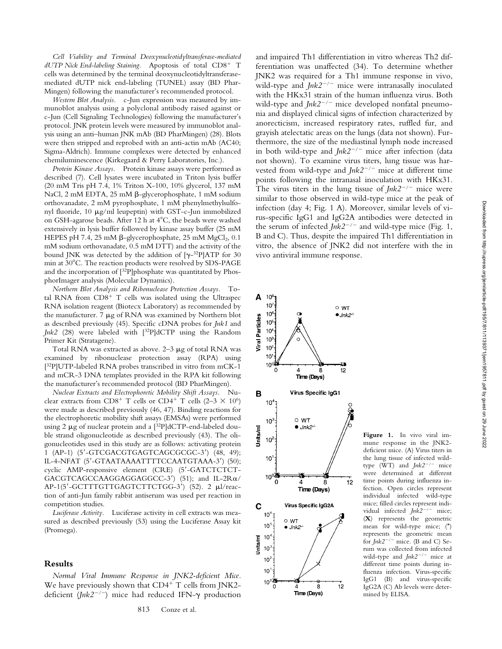*Cell Viability and Terminal Deoxynucleotidyltransferase-mediated* dUTP Nick End-labeling Staining. Apoptosis of total CD8<sup>+</sup> T cells was determined by the terminal deoxynucleotidyltransferasemediated dUTP nick end-labeling (TUNEL) assay (BD Phar-Mingen) following the manufacturer's recommended protocol.

*Western Blot Analysis.* c-Jun expression was measured by immunoblot analysis using a polyclonal antibody raised against or c-Jun (Cell Signaling Technologies) following the manufacturer's protocol. JNK protein levels were measured by immunoblot analysis using an anti–human JNK mAb (BD PharMingen) (28). Blots were then stripped and reprobed with an anti-actin mAb (AC40; Sigma-Aldrich). Immune complexes were detected by enhanced chemiluminescence (Kirkegaard & Perry Laboratories, Inc.).

*Protein Kinase Assays.* Protein kinase assays were performed as described (7). Cell lysates were incubated in Triton lysis buffer (20 mM Tris pH 7.4, 1% Triton X-100, 10% glycerol, 137 mM NaCl, 2 mM EDTA, 25 mM β-glycerophosphate, 1 mM sodium orthovanadate, 2 mM pyrophosphate, 1 mM phenylmethylsulfonyl fluoride, 10  $\mu$ g/ml leupeptin) with GST-c-Jun immobilized on GSH-agarose beads. After 12 h at 4°C, the beads were washed extensively in lysis buffer followed by kinase assay buffer (25 mM HEPES pH 7.4, 25 mM  $\beta$ -glycerophosphate, 25 mM MgCl<sub>2</sub>, 0.1 mM sodium orthovanadate, 0.5 mM DTT) and the activity of the bound JNK was detected by the addition of  $[\gamma^{-32}P]ATP$  for 30 min at  $30^{\circ}$ C. The reaction products were resolved by SDS-PAGE and the incorporation of [32P]phosphate was quantitated by PhosphorImager analysis (Molecular Dynamics).

*Northern Blot Analysis and Ribonuclease Protection Assays.* Total RNA from CD8<sup>+</sup> T cells was isolated using the Ultraspec RNA isolation reagent (Biotecx Laboratory) as recommended by the manufacturer. 7  $\mu$ g of RNA was examined by Northern blot as described previously (45). Specific cDNA probes for *Jnk1* and *Jnk2* (28) were labeled with [32P]dCTP using the Random Primer Kit (Stratagene).

Total RNA was extracted as above.  $2-3$   $\mu$ g of total RNA was examined by ribonuclease protection assay (RPA) using [32P]UTP-labeled RNA probes transcribed in vitro from mCK-1 and mCR-3 DNA templates provided in the RPA kit following the manufacturer's recommended protocol (BD PharMingen).

*Nuclear Extracts and Electrophoretic Mobility Shift Assays.* Nuclear extracts from CD8<sup>+</sup> T cells or CD4<sup>+</sup> T cells (2–3  $\times$  10<sup>6</sup>) were made as described previously (46, 47). Binding reactions for the electrophoretic mobility shift assays (EMSAs) were performed using 2  $\mu$ g of nuclear protein and a [32P]dCTP-end-labeled double strand oligonucleotide as described previously (43). The oligonucleotides used in this study are as follows: activating protein 1 (AP-1) (5 -GTCGACGTGAGTCAGCGCGC-3 ) (48, 49); IL-4-NFAT (5 -GTAATAAAATTTTCCAATGTAAA-3 ) (50); cyclic AMP-responsive element (CRE) (5'-GATCTCTCT-GACGTCAGCCAAGGAGGAGGCC-3') (51); and IL-2Ra/ AP-1(5'-GCTTTGTTGAGTCTTCTGG-3') (52). 2 µl/reaction of anti-Jun family rabbit antiserum was used per reaction in competition studies.

*Luciferase Activity.* Luciferase activity in cell extracts was measured as described previously (53) using the Luciferase Assay kit (Promega).

### **Results**

*Normal Viral Immune Response in JNK2-deficient Mice.* We have previously shown that CD4<sup>+</sup> T cells from JNK2deficient ( $Jnk2^{-/-}$ ) mice had reduced IFN- $\gamma$  production

and impaired Th1 differentiation in vitro whereas Th2 differentiation was unaffected (34). To determine whether JNK2 was required for a Th1 immune response in vivo, wild-type and  $Jnk2^{-/-}$  mice were intranasally inoculated with the HKx31 strain of the human influenza virus. Both wild-type and  $Jnk2^{-/-}$  mice developed nonfatal pneumonia and displayed clinical signs of infection characterized by anorecticism, increased respiratory rates, ruffled fur, and grayish atelectatic areas on the lungs (data not shown). Furthermore, the size of the mediastinal lymph node increased in both wild-type and *Jnk2<sup>-/-</sup>* mice after infection (data not shown). To examine virus titers, lung tissue was harvested from wild-type and  $Jnk2^{-/-}$  mice at different time points following the intranasal inoculation with HKx31. The virus titers in the lung tissue of  $Jnk2^{-/-}$  mice were similar to those observed in wild-type mice at the peak of infection (day 4; Fig. 1 A). Moreover, similar levels of virus-specific IgG1 and IgG2A antibodies were detected in the serum of infected  $Jnk2^{-/-}$  and wild-type mice (Fig. 1, B and C). Thus, despite the impaired Th1 differentiation in vitro, the absence of JNK2 did not interfere with the in vivo antiviral immune response.



**Figure 1.** In vivo viral immune response in the JNK2 deficient mice. (A) Virus titers in the lung tissue of infected wildtype (WT) and  $Jnk2^{-/-}$  mice were determined at different time points during influenza infection. Open circles represent individual infected wild-type mice; filled circles represent individual infected  $Jnk2^{-/-}$  mice; (**X**) represents the geometric mean for wild-type mice; (\*) represents the geometric mean for  $Jnk2^{-/-}$  mice. (B and C) Serum was collected from infected wild-type and  $Jnk2^{-/-}$  mice at different time points during influenza infection. Virus-specific IgG1 (B) and virus-specific IgG2A (C) Ab levels were determined by ELISA.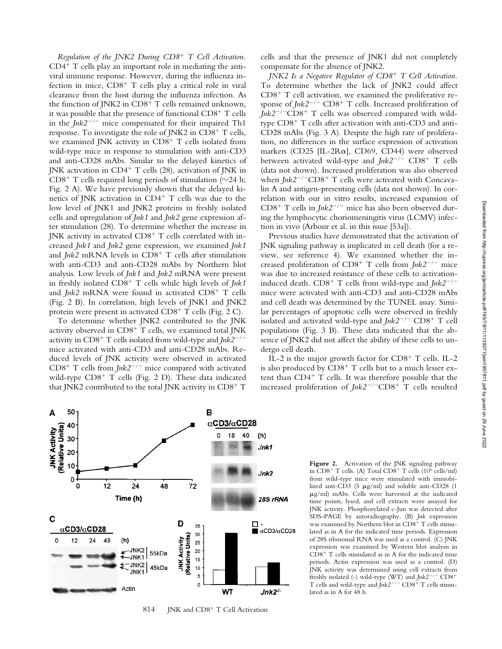*Regulation of the JNK2 During CD8*- *T Cell Activation.* CD4- T cells play an important role in mediating the antiviral immune response. However, during the influenza infection in mice, CD8<sup>+</sup> T cells play a critical role in viral clearance from the host during the influenza infection. As the function of JNK2 in CD8<sup>+</sup> T cells remained unknown, it was possible that the presence of functional CD8<sup>+</sup> T cells in the  $Ink2^{-/-}$  mice compensated for their impaired Th1 response. To investigate the role of JNK2 in CD8<sup>+</sup> T cells, we examined JNK activity in CD8<sup>+</sup> T cells isolated from wild-type mice in response to stimulation with anti-CD3 and anti-CD28 mAbs. Similar to the delayed kinetics of JNK activation in CD4<sup>+</sup> T cells (28), activation of JNK in CD8<sup>+</sup> T cells required long periods of stimulation ( $\sim$ 24 h; Fig. 2 A). We have previously shown that the delayed kinetics of JNK activation in CD4<sup>+</sup> T cells was due to the low level of JNK1 and JNK2 proteins in freshly isolated cells and upregulation of *Jnk1* and *Jnk2* gene expression after stimulation (28). To determine whether the increase in JNK activity in activated CD8<sup>+</sup> T cells correlated with increased *Jnk1* and *Jnk2* gene expression, we examined *Jnk1* and *Jnk2* mRNA levels in CD8<sup>+</sup> T cells after stimulation with anti-CD3 and anti-CD28 mAbs by Northern blot analysis. Low levels of *Jnk1* and *Jnk2* mRNA were present in freshly isolated CD8- T cells while high levels of *Jnk1* and *Jnk2* mRNA were found in activated CD8<sup>+</sup> T cells (Fig. 2 B). In correlation, high levels of JNK1 and JNK2 protein were present in activated  $CD8^+$  T cells (Fig. 2 C).

To determine whether JNK2 contributed to the JNK activity observed in  $CD8<sup>+</sup>$  T cells, we examined total JNK activity in CD8<sup>+</sup> T cells isolated from wild-type and *Jnk2<sup>-/-</sup>* mice activated with anti-CD3 and anti-CD28 mAbs. Reduced levels of JNK activity were observed in activated CD8<sup>+</sup> T cells from *Jnk2<sup>-/-</sup>* mice compared with activated wild-type CD8<sup>+</sup> T cells (Fig. 2 D). These data indicated that JNK2 contributed to the total JNK activity in CD8<sup>+</sup> T

cells and that the presence of JNK1 did not completely compensate for the absence of JNK2.

*JNK2 Is a Negative Regulator of CD8*- *T Cell Activation.* To determine whether the lack of JNK2 could affect  $CD8<sup>+</sup>$  T cell activation, we examined the proliferative response of *Jnk2<sup>-/-</sup>* CD8<sup>+</sup> T cells. Increased proliferation of *Jnk2<sup>-/-</sup>CD8<sup>+</sup>* T cells was observed compared with wildtype CD8<sup>+</sup> T cells after activation with anti-CD3 and anti-CD28 mAbs (Fig. 3 A). Despite the high rate of proliferation, no differences in the surface expression of activation markers (CD25 [IL-2 $Ra$ ], CD69, CD44) were observed between activated wild-type and *Jnk2<sup>-/-</sup>* CD8<sup>+</sup> T cells (data not shown). Increased proliferation was also observed when *Jnk2<sup>-/-</sup>CD8<sup>+</sup>* T cells were activated with Concavalin A and antigen-presenting cells (data not shown). In correlation with our in vitro results, increased expansion of CD8<sup>+</sup> T cells in *Jnk2<sup>-/-</sup>* mice has also been observed during the lymphocytic choriomeningitis virus (LCMV) infection in vivo (Arbour et al. in this issue [53a]).

Previous studies have demonstrated that the activation of JNK signaling pathway is implicated in cell death (for a review, see reference 4). We examined whether the increased proliferation of CD8<sup>+</sup> T cells from *Jnk2<sup>-/-</sup>* mice was due to increased resistance of these cells to activationinduced death. CD8<sup>+</sup> T cells from wild-type and *Jnk2<sup>-/-</sup>* mice were activated with anti-CD3 and anti-CD28 mAbs and cell death was determined by the TUNEL assay. Similar percentages of apoptotic cells were observed in freshly isolated and activated wild-type and *Jnk2<sup>-/-</sup>* CD8<sup>+</sup> T cell populations (Fig. 3 B). These data indicated that the absence of JNK2 did not affect the ability of these cells to undergo cell death.

IL-2 is the major growth factor for CD8<sup>+</sup> T cells. IL-2 is also produced by CD8<sup>+</sup> T cells but to a much lesser extent than CD4<sup>+</sup> T cells. It was therefore possible that the increased proliferation of *Jnk2<sup>-/-</sup>CD8*<sup>+</sup> T cells resulted



814 JNK and CD8<sup>+</sup> T Cell Activation

Figure 2. Activation of the JNK signaling pathway in CD8<sup>+</sup> T cells. (A) Total CD8<sup>+</sup> T cells (10<sup>6</sup> cells/ml) from wild-type mice were stimulated with immobilized anti-CD3 (5  $\mu$ g/ml) and soluble anti-CD28 (1  $\mu$ g/ml) mAbs. Cells were harvested at the indicated time points, lysed, and cell extracts were assayed for JNK activity. Phosphorylated c-Jun was detected after SDS-PAGE by autoradiography. (B) *Jnk* expression was examined by Northern blot in CD8<sup>+</sup> T cells stimulated as in A for the indicated time periods. Expression of 28S ribosomal RNA was used as a control. (C) JNK expression was examined by Western blot analysis in CD8- T cells stimulated as in A for the indicated time periods. Actin expression was used as a control. (D) JNK activity was determined using cell extracts from freshly isolated (-) wild-type (WT) and  $Jnk2^{-/-}$  CD8<sup>+</sup> T cells and wild-type and  $Jnk2^{-/-}$  CD8<sup>+</sup> T cells stimulated as in A for 48 h.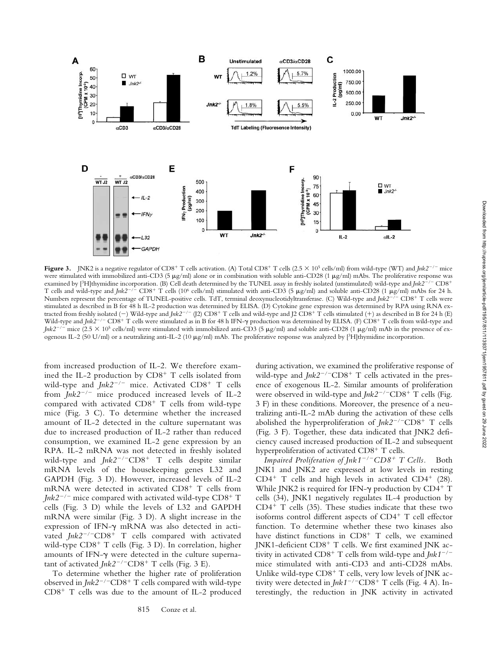

**Figure 3.** JNK2 is a negative regulator of CD8<sup>+</sup> T cells activation. (A) Total CD8<sup>+</sup> T cells (2.5 × 10<sup>5</sup> cells/ml) from wild-type (WT) and *Jnk2*<sup>-/-</sup> mice were stimulated with immobilized anti-CD3 (5  $\mu$ g/ml) alone or in combination with soluble anti-CD28 (1  $\mu$ g/ml) mAbs. The proliferative response was examined by [3H]thymidine incorporation. (B) Cell death determined by the TUNEL assay in freshly isolated (unstimulated) wild-type and *Jnk2/* CD8- T cells and wild-type and *Jnk2<sup>-/-</sup>* CD8<sup>+</sup> T cells (10<sup>6</sup> cells/ml) stimulated with anti-CD3 (5 µg/ml) and soluble anti-CD28 (1 µg/ml) mAbs for 24 h. Numbers represent the percentage of TUNEL-positive cells. TdT, terminal deoxynucleotidyltransferase. (C) Wild-type and *Jnk2<sup>-/-</sup>* CD8<sup>+</sup> T cells were stimulated as described in B for 48 h IL-2 production was determined by ELISA. (D) Cytokine gene expression was determined by RPA using RNA extracted from freshly isolated (–) Wild-type and *Jnk2<sup>-/-</sup>* (J2) CD8<sup>+</sup> T cells and wild-type and J2 CD8<sup>+</sup> T cells stimulated (+) as described in B for 24 h (E) Wild-type and *Jnk2<sup>-/-</sup>* CD8<sup>+</sup> T cells were stimulated as in B for 48 h IFN- $\gamma$  production was determined by ELISA. (F) CD8<sup>+</sup> T cells from wild-type and *Jnk*2<sup>-/-</sup> mice (2.5  $\times$  10<sup>5</sup> cells/ml) were stimulated with immobilized anti-CD3 (5  $\mu$ g/ml) and soluble anti-CD28 (1  $\mu$ g/ml) mAb in the presence of exogenous IL-2 (50 U/ml) or a neutralizing anti-IL-2 (10  $\mu$ g/ml) mAb. The proliferative response was analyzed by [3H]thymidine incorporation.

from increased production of IL-2. We therefore examined the IL-2 production by CD8<sup>+</sup> T cells isolated from wild-type and *Jnk2<sup>-/-</sup>* mice. Activated CD8<sup>+</sup> T cells from  $Jnk2^{-/-}$  mice produced increased levels of IL-2 compared with activated CD8<sup>+</sup> T cells from wild-type mice (Fig. 3 C). To determine whether the increased amount of IL-2 detected in the culture supernatant was due to increased production of IL-2 rather than reduced consumption, we examined IL-2 gene expression by an RPA. IL-2 mRNA was not detected in freshly isolated wild-type and  $Jnk2^{-/-}CD8^+$  T cells despite similar mRNA levels of the housekeeping genes L32 and GAPDH (Fig. 3 D). However, increased levels of IL-2 mRNA were detected in activated CD8<sup>+</sup> T cells from  $Jnk2^{-/-}$  mice compared with activated wild-type  $CD8^+$  T cells (Fig. 3 D) while the levels of L32 and GAPDH mRNA were similar (Fig. 3 D). A slight increase in the expression of IFN- $\gamma$  mRNA was also detected in activated *Jnk2<sup>-/-</sup>CD8<sup>+</sup>* T cells compared with activated wild-type CD8<sup>+</sup> T cells (Fig. 3 D). In correlation, higher amounts of IFN- $\gamma$  were detected in the culture supernatant of activated *Jnk*2<sup>-/-</sup>CD8<sup>+</sup> T cells (Fig. 3 E).

To determine whether the higher rate of proliferation observed in *Jnk2<sup>-/-</sup>CD8<sup>+</sup>* T cells compared with wild-type  $CD8<sup>+</sup>$  T cells was due to the amount of IL-2 produced during activation, we examined the proliferative response of wild-type and *Jnk2<sup>-/-</sup>CD8<sup>+</sup>* T cells activated in the presence of exogenous IL-2. Similar amounts of proliferation were observed in wild-type and *Jnk*2<sup>-/-</sup>CD8<sup>+</sup> T cells (Fig. 3 F) in these conditions. Moreover, the presence of a neutralizing anti-IL-2 mAb during the activation of these cells abolished the hyperproliferation of *Jnk2<sup>-/-</sup>CD8*<sup>+</sup> T cells (Fig. 3 F). Together, these data indicated that JNK2 deficiency caused increased production of IL-2 and subsequent hyperproliferation of activated CD8<sup>+</sup> T cells.

*Impaired Proliferation of Jnk1/CD8*- *T Cells.* Both JNK1 and JNK2 are expressed at low levels in resting  $CD4^+$  T cells and high levels in activated  $CD4^+$  (28). While JNK2 is required for IFN- $\gamma$  production by CD4+ T cells (34), JNK1 negatively regulates IL-4 production by  $CD4^+$  T cells (35). These studies indicate that these two isoforms control different aspects of CD4<sup>+</sup> T cell effector function. To determine whether these two kinases also have distinct functions in CD8<sup>+</sup> T cells, we examined JNK1-deficient CD8<sup>+</sup> T cells. We first examined JNK activity in activated CD8<sup>+</sup> T cells from wild-type and *Jnk1<sup>-/-</sup>* mice stimulated with anti-CD3 and anti-CD28 mAbs. Unlike wild-type CD8<sup>+</sup> T cells, very low levels of JNK activity were detected in *Jnk1<sup>-/-</sup>CD8*<sup>+</sup> T cells (Fig. 4 A). Interestingly, the reduction in JNK activity in activated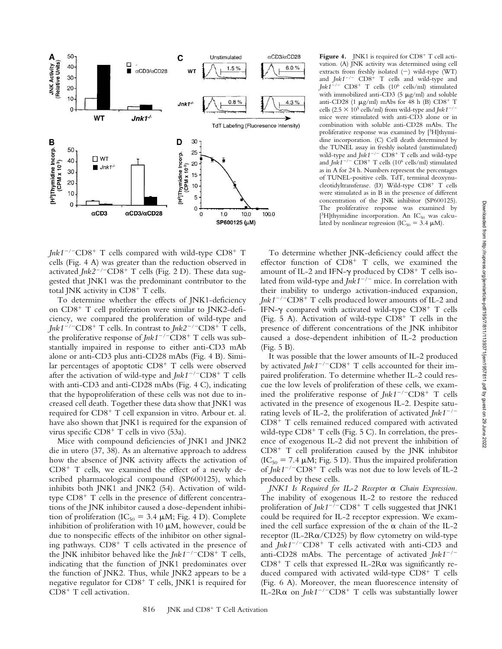

Jnk1<sup>-/-</sup>CD8<sup>+</sup> T cells compared with wild-type CD8<sup>+</sup> T cells (Fig. 4 A) was greater than the reduction observed in activated *Jnk*2<sup>-/-</sup>CD8<sup>+</sup> T cells (Fig. 2 D). These data suggested that JNK1 was the predominant contributor to the total JNK activity in CD8<sup>+</sup> T cells.

To determine whether the effects of JNK1-deficiency on CD8<sup>+</sup> T cell proliferation were similar to JNK2-deficiency, we compared the proliferation of wild-type and *Jnk1<sup>-/-</sup>CD8<sup>+</sup>* T cells. In contrast to *Jnk2<sup>-/-</sup>CD8<sup>+</sup>* T cells, the proliferative response of *Jnk1<sup>-/-</sup>CD8*<sup>+</sup> T cells was substantially impaired in response to either anti-CD3 mAb alone or anti-CD3 plus anti-CD28 mAbs (Fig. 4 B). Similar percentages of apoptotic CD8<sup>+</sup> T cells were observed after the activation of wild-type and *Jnk1<sup>-/-</sup>CD8*<sup>+</sup> T cells with anti-CD3 and anti-CD28 mAbs (Fig. 4 C), indicating that the hypoproliferation of these cells was not due to increased cell death. Together these data show that JNK1 was required for CD8<sup>+</sup> T cell expansion in vitro. Arbour et. al. have also shown that JNK1 is required for the expansion of virus specific CD8<sup>+</sup> T cells in vivo (53a).

Mice with compound deficiencies of JNK1 and JNK2 die in utero (37, 38). As an alternative approach to address how the absence of JNK activity affects the activation of  $CD8<sup>+</sup>$  T cells, we examined the effect of a newly described pharmacological compound (SP600125), which inhibits both JNK1 and JNK2 (54). Activation of wildtype CD8<sup>+</sup> T cells in the presence of different concentrations of the JNK inhibitor caused a dose-dependent inhibition of proliferation (IC<sub>50</sub> = 3.4  $\mu$ M; Fig. 4 D). Complete inhibition of proliferation with 10  $\mu$ M, however, could be due to nonspecific effects of the inhibitor on other signaling pathways. CD8<sup>+</sup> T cells activated in the presence of the JNK inhibitor behaved like the *Jnk1<sup>-/-</sup>CD8*<sup>+</sup> T cells, indicating that the function of JNK1 predominates over the function of JNK2. Thus, while JNK2 appears to be a negative regulator for  $CD8^+$  T cells, JNK1 is required for CD8<sup>+</sup> T cell activation.

Figure 4. JNK1 is required for CD8<sup>+</sup> T cell activation. (A) JNK activity was determined using cell extracts from freshly isolated  $(-)$  wild-type (WT) and  $Jnk1^{-/-}$  CD8<sup>+</sup> T cells and wild-type and *Jnk1/* CD8- T cells (106 cells/ml) stimulated with immobilized anti-CD3 (5  $\mu$ g/ml) and soluble anti-CD28 (1  $\mu$ g/ml) mAbs for 48 h (B) CD8<sup>+</sup> T cells (2.5  $\times$  10<sup>5</sup> cells/ml) from wild-type and *Jnk1<sup>-/-</sup>* mice were stimulated with anti-CD3 alone or in combination with soluble anti-CD28 mAbs. The proliferative response was examined by [3H]thymidine incorporation. (C) Cell death determined by the TUNEL assay in freshly isolated (unstimulated) wild-type and *Jnk1<sup>-/-</sup>* CD8<sup>+</sup> T cells and wild-type and *Jnk1/* CD8- T cells (106 cells/ml) stimulated as in A for 24 h. Numbers represent the percentages of TUNEL-positive cells. TdT, terminal deoxynucleotidyltransferase. (D) Wild-type CD8<sup>+</sup> T cells were stimulated as in B in the presence of different concentration of the JNK inhibitor (SP600125). The proliferative response was examined by [<sup>3</sup>H]thymidine incorporation. An IC<sub>50</sub> was calculated by nonlinear regression (IC<sub>50</sub> = 3.4  $\mu$ M).

To determine whether JNK-deficiency could affect the effector function of CD8<sup>+</sup> T cells, we examined the amount of IL-2 and IFN- $\gamma$  produced by CD8<sup>+</sup> T cells isolated from wild-type and *Jnk1<sup>-/-</sup>* mice. In correlation with their inability to undergo activation-induced expansion, *Jnk1/*CD8- T cells produced lower amounts of IL-2 and IFN- $\gamma$  compared with activated wild-type CD8<sup>+</sup> T cells (Fig. 5 A). Activation of wild-type  $CD8^+$  T cells in the presence of different concentrations of the JNK inhibitor caused a dose-dependent inhibition of IL-2 production (Fig. 5 B).

It was possible that the lower amounts of IL-2 produced by activated *Jnk1<sup>-/-</sup>CD8<sup>+</sup>* T cells accounted for their impaired proliferation. To determine whether IL-2 could rescue the low levels of proliferation of these cells, we examined the proliferative response of  $Jnk1^{-/-}CD8^+$  T cells activated in the presence of exogenous IL-2. Despite saturating levels of IL-2, the proliferation of activated *Jnk1/* CD8<sup>+</sup> T cells remained reduced compared with activated wild-type CD8<sup>+</sup> T cells (Fig. 5 C). In correlation, the presence of exogenous IL-2 did not prevent the inhibition of CD8- T cell proliferation caused by the JNK inhibitor  $(IC_{50} = 7.4 \mu M; Fig. 5 D)$ . Thus the impaired proliferation of *Jnk1*<sup>-/-</sup>CD8<sup>+</sup> T cells was not due to low levels of IL-2 produced by these cells.

*JNK1 Is Required for IL-2 Receptor*  $\alpha$  *Chain Expression.* The inability of exogenous IL-2 to restore the reduced proliferation of *Jnk1<sup>-/-</sup>CD8*<sup>+</sup> T cells suggested that JNK1 could be required for IL-2 receptor expression. We examined the cell surface expression of the  $\alpha$  chain of the IL-2 receptor (IL-2R $\alpha$ /CD25) by flow cytometry on wild-type and *Jnk1<sup>-/-</sup>CD8<sup>+</sup>* T cells activated with anti-CD3 and anti-CD28 mAbs. The percentage of activated *Jnk1/* CD8<sup>+</sup> T cells that expressed IL-2R $\alpha$  was significantly reduced compared with activated wild-type CD8<sup>+</sup> T cells (Fig. 6 A). Moreover, the mean fluorescence intensity of IL-2R $\alpha$  on *Jnk1<sup>-/-</sup>CD8<sup>+</sup>* T cells was substantially lower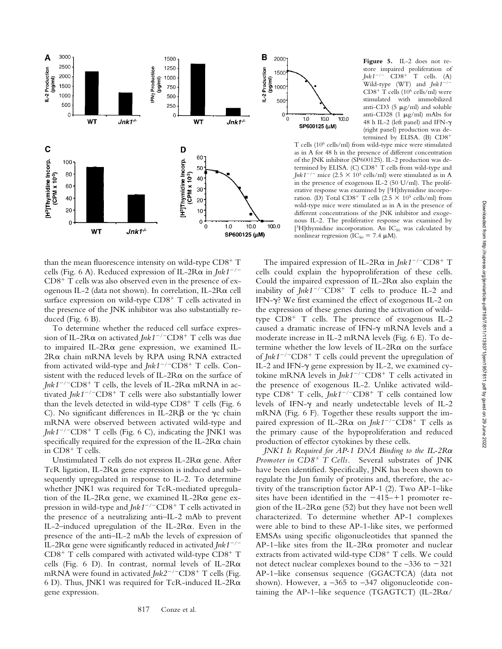

than the mean fluorescence intensity on wild-type  $CD8^+$  T cells (Fig. 6 A). Reduced expression of IL-2R $\alpha$  in *Jnk1<sup>-/-</sup>*  $CD8<sup>+</sup>$  T cells was also observed even in the presence of exogenous IL-2 (data not shown). In correlation, IL-2R $\alpha$  cell surface expression on wild-type CD8<sup>+</sup> T cells activated in the presence of the JNK inhibitor was also substantially reduced (Fig. 6 B).

To determine whether the reduced cell surface expression of IL-2Rα on activated *Jnk1<sup>-/-</sup>CD*8<sup>+</sup> T cells was due to impaired IL-2R $\alpha$  gene expression, we examined IL- $2R\alpha$  chain mRNA levels by RPA using RNA extracted from activated wild-type and *Jnk1<sup>-/-</sup>CD8*<sup>+</sup> T cells. Consistent with the reduced levels of IL-2R $\alpha$  on the surface of  $Jnk1^{-/-}CD8^{+}$  T cells, the levels of IL-2R $\alpha$  mRNA in activated *Jnk1<sup>-/-</sup>CD8<sup>+</sup> T cells were also substantially lower* than the levels detected in wild-type CD8<sup>+</sup> T cells (Fig. 6 C). No significant differences in IL-2R $\beta$  or the  $\gamma c$  chain mRNA were observed between activated wild-type and *Jnk1<sup>-/-</sup>CD8*<sup>+</sup> T cells (Fig. 6 C), indicating the JNK1 was specifically required for the expression of the IL-2R $\alpha$  chain in CD8<sup>+</sup> T cells.

Unstimulated T cells do not express IL- $2R\alpha$  gene. After TcR ligation, IL-2R $\alpha$  gene expression is induced and subsequently upregulated in response to IL-2. To determine whether JNK1 was required for TcR-mediated upregulation of the IL-2R $\alpha$  gene, we examined IL-2R $\alpha$  gene expression in wild-type and *Jnk1<sup>-/-</sup>CD8*<sup>+</sup> T cells activated in the presence of a neutralizing anti–IL-2 mAb to prevent IL-2-induced upregulation of the IL-2 $R\alpha$ . Even in the presence of the anti–IL-2 mAb the levels of expression of IL-2R $\alpha$  gene were significantly reduced in activated *Jnk1<sup>-/-</sup>* CD8<sup>+</sup> T cells compared with activated wild-type CD8<sup>+</sup> T cells (Fig. 6 D). In contrast, normal levels of IL-2R $\alpha$ mRNA were found in activated *Jnk2<sup>-/-</sup>CD8*<sup>+</sup> T cells (Fig. 6 D). Thus, JNK1 was required for TcR-induced IL-2R $\alpha$ gene expression.



**Figure 5.** IL-2 does not restore impaired proliferation of<br> $Jnk1^{-/-}$  CD8<sup>+</sup> T cells. (A)  $Jnk1^{-/-}$  T cells. (A) Wild-type (WT) and  $Jnk1^{-n}$ CD8- T cells (106 cells/ml) were stimulated with immobilized anti-CD3 (5  $\mu$ g/ml) and soluble anti-CD28 (1  $\mu$ g/ml) mAbs for 48 h IL-2 (left panel) and IFN- (right panel) production was determined by ELISA. (B) CD8-

T cells (106 cells/ml) from wild-type mice were stimulated as in A for 48 h in the presence of different concentration of the JNK inhibitor (SP600125). IL-2 production was determined by ELISA. (C) CD8<sup>+</sup> T cells from wild-type and *Jnk1<sup>-/-</sup>* mice (2.5  $\times$  10<sup>5</sup> cells/ml) were stimulated as in A in the presence of exogenous IL-2 (50 U/ml). The proliferative response was examined by [3H]thymidine incorporation. (D) Total  $CD8^+$  T cells (2.5  $\times$  10<sup>5</sup> cells/ml) from wild-type mice were stimulated as in A in the presence of different concentrations of the JNK inhibitor and exogenous IL-2. The proliferative response was examined by  $[3H]$ thymidine incorporation. An IC<sub>50</sub> was calculated by nonlinear regression ( $IC_{50} = 7.4 \mu M$ ).

The impaired expression of IL-2R $\alpha$  in  $Jnk1^{-/-}CD8^+$  T cells could explain the hypoproliferation of these cells. Could the impaired expression of IL-2R $\alpha$  also explain the inability of *Jnk1<sup>-/-</sup>CD8<sup>+</sup>* T cells to produce IL-2 and IFN- $\gamma$ ? We first examined the effect of exogenous IL-2 on the expression of these genes during the activation of wildtype CD8<sup>+</sup> T cells. The presence of exogenous IL-2 caused a dramatic increase of IFN- $\gamma$  mRNA levels and a moderate increase in IL-2 mRNA levels (Fig. 6 E). To determine whether the low levels of IL-2R $\alpha$  on the surface of *Jnk1<sup>-/-</sup>CD8*<sup>+</sup> T cells could prevent the upregulation of IL-2 and IFN- $\gamma$  gene expression by IL-2, we examined cytokine mRNA levels in  $Jnk1^{-/-}CD8^+$  T cells activated in the presence of exogenous IL-2. Unlike activated wildtype CD8<sup>+</sup> T cells, *Jnk1<sup>-/-</sup>CD*8<sup>+</sup> T cells contained low levels of IFN- $\gamma$  and nearly undetectable levels of IL-2 mRNA (Fig. 6 F). Together these results support the impaired expression of IL-2R $\alpha$  on *Jnk1<sup>-/-</sup>CD8*<sup>+</sup> T cells as the primary cause of the hypoproliferation and reduced production of effector cytokines by these cells.

*JNK1 Is Required for AP-1 DNA Binding to the IL-2R* Promoter in CD8<sup>+</sup> T Cells. Several substrates of JNK have been identified. Specifically, JNK has been shown to regulate the Jun family of proteins and, therefore, the activity of the transcription factor AP-1 (2). Two AP-1–like sites have been identified in the  $-415-+1$  promoter region of the IL-2R $\alpha$  gene (52) but they have not been well characterized. To determine whether AP-1 complexes were able to bind to these AP-1-like sites, we performed EMSAs using specific oligonucleotides that spanned the AP-1–like sites from the IL-2 $R\alpha$  promoter and nuclear extracts from activated wild-type CD8<sup>+</sup> T cells. We could not detect nuclear complexes bound to the  $-336$  to  $-321$ AP-1–like consensus sequence (GGACTCA) (data not shown). However, a  $-365$  to  $-347$  oligonucleotide containing the AP-1–like sequence (TGAGTCT) (IL-2R $\alpha$ /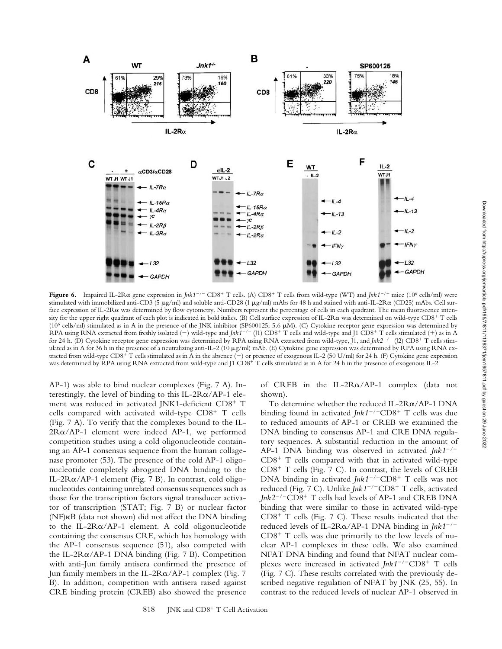

**Figure 6.** Impaired IL-2Rα gene expression in *Jnk1<sup>-/-</sup>* CD8<sup>+</sup> T cells. (A) CD8<sup>+</sup> T cells from wild-type (WT) and *Jnk1<sup>-/-</sup>* mice (10<sup>6</sup> cells/ml) were stimulated with immobilized anti-CD3 (5 μg/ml) and soluble anti-CD28 (1 μg/ml) mAbs for 48 h and stained with anti-IL-2Rα (CD25) mAbs. Cell surface expression of IL-2R a was determined by flow cytometry. Numbers represent the percentage of cells in each quadrant. The mean fluorescence intensity for the upper right quadrant of each plot is indicated in bold italics. (B) Cell surface expression of IL-2R $\alpha$  was determined on wild-type CD8<sup>+</sup> T cells ( $10<sup>6</sup>$  cells/ml) stimulated as in A in the presence of the JNK inhibitor (SP600125; 5.6  $\mu$ M). (C) Cytokine receptor gene expression was determined by RPA using RNA extracted from freshly isolated (-) wild-type and *Jnk1<sup>-/-</sup>* (J1) CD8<sup>+</sup> T cells and wild-type and J1 CD8<sup>+</sup> T cells stimulated (+) as in A for 24 h. (D) Cytokine receptor gene expression was determined by RPA using RNA extracted from wild-type, J1, and *Jnk2<sup>-/-</sup>* (J2) CD8<sup>+</sup> T cells stimulated as in A for 36 h in the presence of a neutralizing anti-IL-2 (10 µg/ml) mAb. (E) Cytokine gene expression was determined by RPA using RNA extracted from wild-type CD8<sup>+</sup> T cells stimulated as in A in the absence  $(-)$  or presence of exogenous IL-2 (50 U/ml) for 24 h. (F) Cytokine gene expression was determined by RPA using RNA extracted from wild-type and J1 CD8+ T cells stimulated as in A for 24 h in the presence of exogenous IL-2.

AP-1) was able to bind nuclear complexes (Fig. 7 A). Interestingly, the level of binding to this IL-2R $\alpha$ /AP-1 element was reduced in activated JNK1-deficient CD8<sup>+</sup> T cells compared with activated wild-type CD8<sup>+</sup> T cells (Fig. 7 A). To verify that the complexes bound to the IL- $2R\alpha/AP-1$  element were indeed AP-1, we performed competition studies using a cold oligonucleotide containing an AP-1 consensus sequence from the human collagenase promoter (53). The presence of the cold AP-1 oligonucleotide completely abrogated DNA binding to the IL-2R $\alpha$ /AP-1 element (Fig. 7 B). In contrast, cold oligonucleotides containing unrelated consensus sequences such as those for the transcription factors signal transducer activator of transcription (STAT; Fig. 7 B) or nuclear factor  $(NF)$  $\kappa$ B (data not shown) did not affect the DNA binding to the IL-2R $\alpha$ /AP-1 element. A cold oligonucleotide containing the consensus CRE, which has homology with the AP-1 consensus sequence (51), also competed with the IL-2R $\alpha$ /AP-1 DNA binding (Fig. 7 B). Competition with anti-Jun family antisera confirmed the presence of Jun family members in the IL-2R $\alpha$ /AP-1 complex (Fig. 7) B). In addition, competition with antisera raised against CRE binding protein (CREB) also showed the presence

of CREB in the IL-2R $\alpha$ /AP-1 complex (data not shown).

To determine whether the reduced IL- $2R\alpha/AP-1$  DNA binding found in activated *Jnk1<sup>-/-</sup>CD8*<sup>+</sup> T cells was due to reduced amounts of AP-1 or CREB we examined the DNA binding to consensus AP-1 and CRE DNA regulatory sequences. A substantial reduction in the amount of AP-1 DNA binding was observed in activated  $Jnk1^{-/-}$ CD8<sup>+</sup> T cells compared with that in activated wild-type CD8- T cells (Fig. 7 C). In contrast, the levels of CREB DNA binding in activated *Jnk1<sup>-/-</sup>CD8*<sup>+</sup> T cells was not reduced (Fig. 7 C). Unlike *Jnk1<sup>-/-</sup>CD8*<sup>+</sup> T cells, activated Jnk2<sup>-/-</sup>CD8<sup>+</sup> T cells had levels of AP-1 and CREB DNA binding that were similar to those in activated wild-type CD8- T cells (Fig. 7 C). These results indicated that the reduced levels of IL-2R $\alpha$ /AP-1 DNA binding in *Jnk1<sup>-/-</sup>*  $CD8<sup>+</sup>$  T cells was due primarily to the low levels of nuclear AP-1 complexes in these cells. We also examined NFAT DNA binding and found that NFAT nuclear complexes were increased in activated *Jnk1<sup>-/-</sup>CD8<sup>+</sup>* T cells (Fig. 7 C). These results correlated with the previously described negative regulation of NFAT by JNK (25, 55). In contrast to the reduced levels of nuclear AP-1 observed in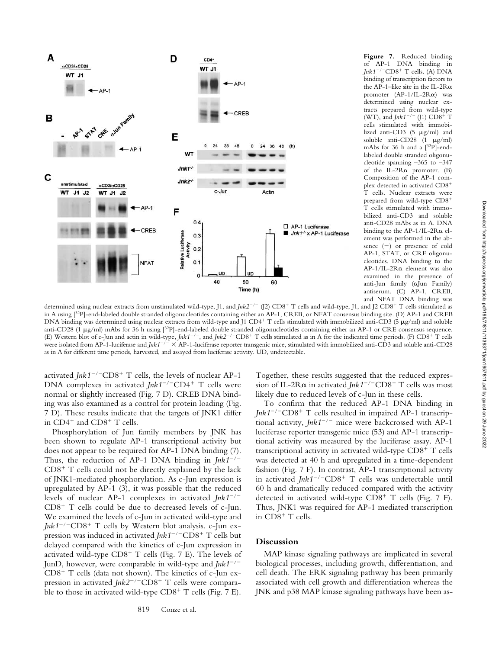

**Figure 7.** Reduced binding of AP-1 DNA binding in *Jnk1*<sup>-/-</sup>CD8<sup>+</sup> T cells. (A) DNA binding of transcription factors to the AP-1–like site in the IL-2R $\alpha$ promoter  $(AP-1/IL-2R\alpha)$  was determined using nuclear extracts prepared from wild-type (WT), and *Jnk* 1<sup>-/-</sup> (J1) CD8<sup>+</sup> T cells stimulated with immobilized anti-CD3 (5  $\mu$ g/ml) and soluble anti-CD28  $(1 \mu g/ml)$ mAbs for 36 h and a [32P]-endlabeled double stranded oligonucleotide spanning –365 to –347 of the IL-2R $\alpha$  promoter. (B) Composition of the AP-1 complex detected in activated CD8- T cells. Nuclear extracts were prepared from wild-type CD8- T cells stimulated with immobilized anti-CD3 and soluble anti-CD28 mAbs as in A. DNA binding to the AP-1/IL-2R $\alpha$  element was performed in the absence  $(-)$  or presence of cold AP-1, STAT, or CRE oligonucleotides. DNA binding to the  $AP-1/IL-2R\alpha$  element was also examined in the presence of anti-Jun family  $(\alpha)$ un Family) antiserum. (C) AP-1, CREB, and NFAT DNA binding was

determined using nuclear extracts from unstimulated wild-type, J1, and *Jnk2<sup>-/-</sup>* (J2) CD8<sup>+</sup> T cells and wild-type, J1, and J2 CD8<sup>+</sup> T cells stimulated as in A using [32P]-end-labeled double stranded oligonucleotides containing either an AP-1, CREB, or NFAT consensus binding site. (D) AP-1 and CREB DNA binding was determined using nuclear extracts from wild-type and J1 CD4+ T cells stimulated with immobilized anti-CD3 (5 µg/ml) and soluble anti-CD28 (1 µg/ml) mAbs for 36 h using [<sup>32</sup>P]-end-labeled double stranded oligonucleotides containing either an AP-1 or CRE consensus sequence. (E) Western blot of c-Jun and actin in wild-type, *Jnk1<sup>-/-</sup>*, and *Jnk*2<sup>-/-</sup>CD8<sup>+</sup> T cells stimulated as in A for the indicated time periods. (F) CD8<sup>+</sup> T cells were isolated from AP-1-luciferase and  $\int n kT^{-/2} \times AP^{-1}$ -luciferase reporter transgenic mice, stimulated with immobilized anti-CD3 and soluble anti-CD28 as in A for different time periods, harvested, and assayed from luciferase activity. UD, undetectable.

activated *Jnk1<sup>-/-</sup>CD8<sup>+</sup>* T cells, the levels of nuclear AP-1 DNA complexes in activated *Jnk1*<sup>-/-</sup>CD4<sup>+</sup> T cells were normal or slightly increased (Fig. 7 D). CREB DNA binding was also examined as a control for protein loading (Fig. 7 D). These results indicate that the targets of JNK1 differ in CD4<sup>+</sup> and CD8<sup>+</sup> T cells.

Phosphorylation of Jun family members by JNK has been shown to regulate AP-1 transcriptional activity but does not appear to be required for AP-1 DNA binding (7). Thus, the reduction of AP-1 DNA binding in  $Jnk1^{-/-}$  $CD8<sup>+</sup>$  T cells could not be directly explained by the lack of JNK1-mediated phosphorylation. As c-Jun expression is upregulated by AP-1 (3), it was possible that the reduced levels of nuclear AP-1 complexes in activated  $Jnk1^{-/-}$ CD8- T cells could be due to decreased levels of c-Jun. We examined the levels of c-Jun in activated wild-type and Jnk1<sup>-/-</sup>CD8<sup>+</sup> T cells by Western blot analysis. c-Jun expression was induced in activated *Jnk1<sup>-/-</sup>CD8*<sup>+</sup> T cells but delayed compared with the kinetics of c-Jun expression in activated wild-type CD8<sup>+</sup> T cells (Fig. 7 E). The levels of JunD, however, were comparable in wild-type and *Jnk1*/ CD8<sup>+</sup> T cells (data not shown). The kinetics of c-Jun expression in activated *Jnk2<sup>-/-</sup>CD8<sup>+</sup>* T cells were comparable to those in activated wild-type CD8<sup>+</sup> T cells (Fig. 7 E).

Together, these results suggested that the reduced expression of IL-2Rα in activated *Jnk1<sup>-/-</sup>CD*8<sup>+</sup> T cells was most likely due to reduced levels of c-Jun in these cells.

To confirm that the reduced AP-1 DNA binding in *Jnk1*/CD8- T cells resulted in impaired AP-1 transcriptional activity,  $Jnk1^{-/-}$  mice were backcrossed with AP-1 luciferase reporter transgenic mice (53) and AP-1 transcriptional activity was measured by the luciferase assay. AP-1 transcriptional activity in activated wild-type CD8<sup>+</sup> T cells was detected at 40 h and upregulated in a time-dependent fashion (Fig. 7 F). In contrast, AP-1 transcriptional activity in activated *Jnk1<sup>-/-</sup>CD8<sup>+</sup>* T cells was undetectable until 60 h and dramatically reduced compared with the activity detected in activated wild-type  $CD8^+$  T cells (Fig. 7 F). Thus, JNK1 was required for AP-1 mediated transcription in CD8<sup>+</sup> T cells.

# **Discussion**

MAP kinase signaling pathways are implicated in several biological processes, including growth, differentiation, and cell death. The ERK signaling pathway has been primarily associated with cell growth and differentiation whereas the JNK and p38 MAP kinase signaling pathways have been as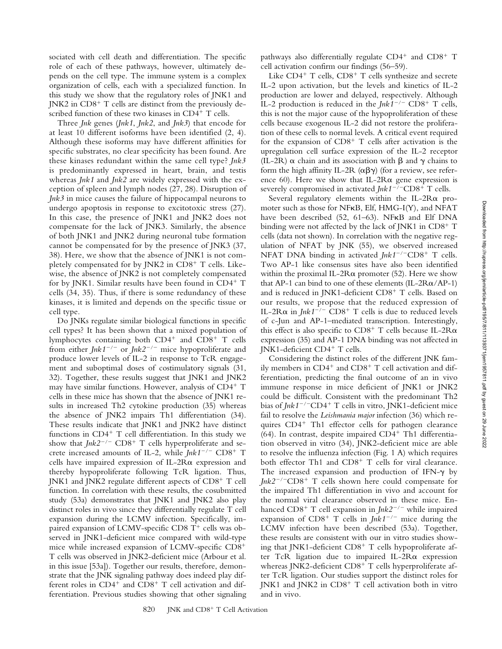sociated with cell death and differentiation. The specific role of each of these pathways, however, ultimately depends on the cell type. The immune system is a complex organization of cells, each with a specialized function. In this study we show that the regulatory roles of JNK1 and JNK2 in CD8<sup>+</sup> T cells are distinct from the previously described function of these two kinases in CD4<sup>+</sup> T cells.

Three *Jnk* genes (*Jnk1*, *Jnk2*, and *Jnk3*) that encode for at least 10 different isoforms have been identified (2, 4). Although these isoforms may have different affinities for specific substrates, no clear specificity has been found. Are these kinases redundant within the same cell type? *Jnk3* is predominantly expressed in heart, brain, and testis whereas *Jnk1* and *Jnk2* are widely expressed with the exception of spleen and lymph nodes (27, 28). Disruption of *Jnk3* in mice causes the failure of hippocampal neurons to undergo apoptosis in response to excitotoxic stress (27). In this case, the presence of JNK1 and JNK2 does not compensate for the lack of JNK3. Similarly, the absence of both JNK1 and JNK2 during neuronal tube formation cannot be compensated for by the presence of JNK3 (37, 38). Here, we show that the absence of JNK1 is not completely compensated for by JNK2 in CD8<sup>+</sup> T cells. Likewise, the absence of JNK2 is not completely compensated for by JNK1. Similar results have been found in CD4<sup>+</sup> T cells (34, 35). Thus, if there is some redundancy of these kinases, it is limited and depends on the specific tissue or cell type.

Do JNKs regulate similar biological functions in specific cell types? It has been shown that a mixed population of lymphocytes containing both CD4<sup>+</sup> and CD8<sup>+</sup> T cells from either *Jnk1<sup>-/-</sup>* or *Jnk2<sup>-/-</sup>* mice hypoproliferate and produce lower levels of IL-2 in response to TcR engagement and suboptimal doses of costimulatory signals (31, 32). Together, these results suggest that JNK1 and JNK2 may have similar functions. However, analysis of CD4<sup>+</sup> T cells in these mice has shown that the absence of JNK1 results in increased Th2 cytokine production (35) whereas the absence of JNK2 impairs Th1 differentiation (34). These results indicate that JNK1 and JNK2 have distinct functions in CD4<sup>+</sup> T cell differentiation. In this study we show that *Jnk2<sup>-/-</sup>* CD8<sup>+</sup> T cells hyperproliferate and secrete increased amounts of IL-2, while  $Jnk1^{-/-}$  CD8<sup>+</sup> T cells have impaired expression of IL-2R $\alpha$  expression and thereby hypoproliferate following TcR ligation. Thus, JNK1 and JNK2 regulate different aspects of CD8<sup>+</sup> T cell function. In correlation with these results, the cosubmitted study (53a) demonstrates that JNK1 and JNK2 also play distinct roles in vivo since they differentially regulate T cell expansion during the LCMV infection. Specifically, impaired expansion of LCMV-specific CD8 T<sup>+</sup> cells was observed in JNK1-deficient mice compared with wild-type mice while increased expansion of LCMV-specific CD8- T cells was observed in JNK2-deficient mice (Arbour et al. in this issue [53a]). Together our results, therefore, demonstrate that the JNK signaling pathway does indeed play different roles in  $CD4^+$  and  $CD8^+$  T cell activation and differentiation. Previous studies showing that other signaling

pathways also differentially regulate CD4<sup>+</sup> and CD8<sup>+</sup> T cell activation confirm our findings (56–59).

Like CD4<sup>+</sup> T cells, CD8<sup>+</sup> T cells synthesize and secrete IL-2 upon activation, but the levels and kinetics of IL-2 production are lower and delayed, respectively. Although IL-2 production is reduced in the  $Jnk1^{-/-}$  CD8<sup>+</sup> T cells, this is not the major cause of the hypoproliferation of these cells because exogenous IL-2 did not restore the proliferation of these cells to normal levels. A critical event required for the expansion of CD8<sup>+</sup> T cells after activation is the upregulation cell surface expression of the IL-2 receptor (IL-2R)  $\alpha$  chain and its association with  $\beta$  and  $\gamma$  chains to form the high affinity IL-2R  $(\alpha \beta \gamma)$  (for a review, see reference 60). Here we show that IL-2R $\alpha$  gene expression is severely compromised in activated *Jnk1<sup>-/-</sup>CD8*<sup>+</sup> T cells.

Several regulatory elements within the IL-2R $\alpha$  promoter such as those for NFKB, Elf, HMG-I(Y), and NFAT have been described (52, 61-63). NFKB and Elf DNA binding were not affected by the lack of JNK1 in CD8<sup>+</sup> T cells (data not shown). In correlation with the negative regulation of NFAT by JNK (55), we observed increased NFAT DNA binding in activated *Jnk1<sup>-/-</sup>CD8<sup>+</sup>* T cells. Two AP-1 like consensus sites have also been identified within the proximal IL-2R $\alpha$  promoter (52). Here we show that AP-1 can bind to one of these elements  $(IL-2Ra/AP-1)$ and is reduced in JNK1-deficient CD8<sup>+</sup> T cells. Based on our results, we propose that the reduced expression of IL-2R $\alpha$  in *Jnk1<sup>-/-</sup>* CD8<sup>+</sup> T cells is due to reduced levels of c-Jun and AP-1–mediated transcription. Interestingly, this effect is also specific to  $CD8^+$  T cells because IL-2R $\alpha$ expression (35) and AP-1 DNA binding was not affected in JNK1-deficient CD4<sup>+</sup> T cells.

Considering the distinct roles of the different JNK family members in CD4<sup>+</sup> and CD8<sup>+</sup> T cell activation and differentiation, predicting the final outcome of an in vivo immune response in mice deficient of JNK1 or JNK2 could be difficult. Consistent with the predominant Th2 bias of *Jnk1<sup>-/-</sup>CD4*<sup>+</sup> T cells in vitro, JNK1-deficient mice fail to resolve the *Leishmania major* infection (36) which requires CD4<sup>+</sup> Th1 effector cells for pathogen clearance (64). In contrast, despite impaired CD4<sup>+</sup> Th1 differentiation observed in vitro (34), JNK2-deficient mice are able to resolve the influenza infection (Fig. 1 A) which requires both effector Th1 and CD8<sup>+</sup> T cells for viral clearance. The increased expansion and production of IFN- $\gamma$  by Jnk2<sup>-/-</sup>CD8<sup>+</sup> T cells shown here could compensate for the impaired Th1 differentiation in vivo and account for the normal viral clearance observed in these mice. Enhanced CD8<sup>+</sup> T cell expansion in *Jnk2<sup>-/-</sup>* while impaired expansion of  $CD8^+$  T cells in *Jnk1<sup>-/-</sup>* mice during the LCMV infection have been described (53a). Together, these results are consistent with our in vitro studies showing that JNK1-deficient CD8<sup>+</sup> T cells hypoproliferate after TcR ligation due to impaired IL-2R $\alpha$  expression whereas JNK2-deficient CD8<sup>+</sup> T cells hyperproliferate after TcR ligation. Our studies support the distinct roles for JNK1 and JNK2 in CD8<sup>+</sup> T cell activation both in vitro and in vivo.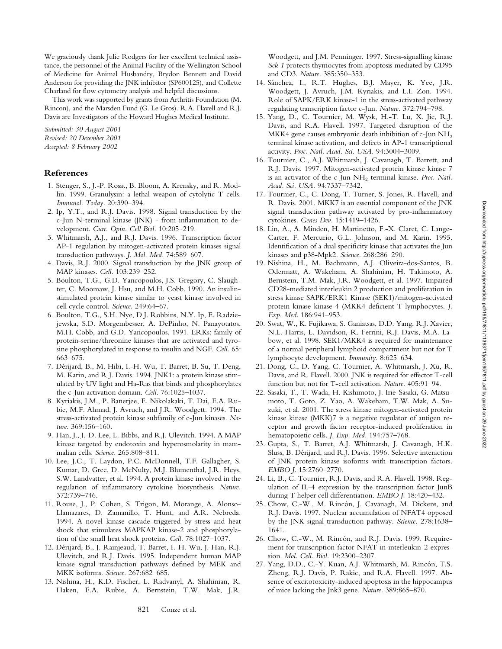We graciously thank Julie Rodgers for her excellent technical assistance, the personnel of the Animal Facility of the Wellington School of Medicine for Animal Husbandry, Brydon Bennett and David Anderson for providing the JNK inhibitor (SP600125), and Collette Charland for flow cytometry analysis and helpful discussions.

This work was supported by grants from Arthritis Foundation (M. Rincon), and the Marsden Fund (G. Le Gros). R.A. Flavell and R.J. Davis are Investigators of the Howard Hughes Medical Institute.

*Submitted: 30 August 2001 Revised: 20 December 2001 Accepted: 8 February 2002*

## **References**

- 1. Stenger, S., J.-P. Rosat, B. Bloom, A. Krensky, and R. Modlin. 1999. Granulysin: a lethal weapon of cytolytic T cells. *Immunol. Today.* 20:390–394.
- 2. Ip, Y.T., and R.J. Davis. 1998. Signal transduction by the c-Jun N-terminal kinase (JNK) - from inflammation to development. *Curr. Opin. Cell Biol.* 10:205–219.
- 3. Whitmarsh, A.J., and R.J. Davis. 1996. Transcription factor AP-1 regulation by mitogen-activated protein kinases signal transduction pathways. *J. Mol. Med.* 74:589–607.
- 4. Davis, R.J. 2000. Signal transduction by the JNK group of MAP kinases. *Cell.* 103:239–252.
- 5. Boulton, T.G., G.D. Yancopoulos, J.S. Gregory, C. Slaughter, C. Moomaw, J. Hsu, and M.H. Cobb. 1990. An insulinstimulated protein kinase similar to yeast kinase involved in cell cycle control. *Science.* 249:64–67.
- 6. Boulton, T.G., S.H. Nye, D.J. Robbins, N.Y. Ip, E. Radziejewska, S.D. Morgembesser, A. DePinho, N. Panayotatos, M.H. Cobb, and G.D. Yancopoulos. 1991. ERKs: family of protein-serine/threonine kinases that are activated and tyrosine phosphorylated in response to insulin and NGF. *Cell.* 65: 663–675.
- 7. Dérijard, B., M. Hibi, I.-H. Wu, T. Barret, B. Su, T. Deng, M. Karin, and R.J. Davis. 1994. JNK1: a protein kinase stimulated by UV light and Ha-Ras that binds and phosphorylates the c-Jun activation domain. *Cell.* 76:1025–1037.
- 8. Kyriakis, J.M., P. Banerjee, E. Nikolakaki, T. Dai, E.A. Rubie, M.F. Ahmad, J. Avruch, and J.R. Woodgett. 1994. The stress-activated protein kinase subfamily of c-Jun kinases. *Nature.* 369:156–160.
- 9. Han, J., J.-D. Lee, L. Bibbs, and R.J. Ulevitch. 1994. A MAP kinase targeted by endotoxin and hyperosmolarity in mammalian cells. *Science.* 265:808–811.
- 10. Lee, J.C., T. Laydon, P.C. McDonnell, T.F. Gallagher, S. Kumar, D. Gree, D. McNulty, M.J. Blumenthal, J.R. Heys, S.W. Landvatter, et al. 1994. A protein kinase involved in the regulation of inflammatory cytokine biosynthesis. *Nature.* 372:739–746.
- 11. Rouse, J., P. Cohen, S. Trigon, M. Morange, A. Alonso-Llamazares, D. Zamanillo, T. Hunt, and A.R. Nebreda. 1994. A novel kinase cascade triggered by stress and heat shock that stimulates MAPKAP kinase-2 and phosphorylation of the small heat shock proteins. *Cell.* 78:1027–1037.
- 12. Dérijard, B., J. Rainjeaud, T. Barret, I.-H. Wu, J. Han, R.J. Ulevitch, and R.J. Davis. 1995. Independent human MAP kinase signal transduction pathways defined by MEK and MKK isoforms. *Science.* 267:682–685.
- 13. Nishina, H., K.D. Fischer, L. Radvanyl, A. Shahinian, R. Haken, E.A. Rubie, A. Bernstein, T.W. Mak, J.R.

Woodgett, and J.M. Penninger. 1997. Stress-signalling kinase *Sek 1* protects thymocytes from apoptosis mediated by CD95 and CD3. *Nature.* 385:350–353.

- 14. Sánchez, I., R.T. Hughes, B.J. Mayer, K. Yee, J.R. Woodgett, J. Avruch, J.M. Kyriakis, and L.I. Zon. 1994. Role of SAPK/ERK kinase-1 in the stress-activated pathway regulating transcription factor c-Jun. *Nature.* 372:794–798.
- 15. Yang, D., C. Tournier, M. Wysk, H.-T. Lu, X. Jie, R.J. Davis, and R.A. Flavell. 1997. Targeted disruption of the MKK4 gene causes embryonic death inhibition of c-Jun NH<sub>2</sub> terminal kinase activation, and defects in AP-1 transcriptional activity. *Proc. Natl. Acad. Sci. USA.* 94:3004–3009.
- 16. Tournier, C., A.J. Whitmarsh, J. Cavanagh, T. Barrett, and R.J. Davis. 1997. Mitogen-activated protein kinase kinase 7 is an activator of the c-Jun NH<sub>2</sub>-terminal kinase. *Proc. Natl. Acad. Sci. USA.* 94:7337–7342.
- 17. Tournier, C., C. Dong, T. Turner, S. Jones, R. Flavell, and R. Davis. 2001. MKK7 is an essential component of the JNK signal transduction pathway activated by pro-inflammatory cytokines. *Genes Dev.* 15:1419–1426.
- 18. Lin, A., A. Minden, H. Martinetto, F.-X. Claret, C. Lange-Carter, F. Mercurio, G.L. Johnson, and M. Karin. 1995. Identification of a dual specificity kinase that activates the Jun kinases and p38-Mpk2. *Science.* 268:286–290.
- 19. Nishina, H., M. Bachmann, A.J. Oliveira-dos-Santos, B. Odermatt, A. Wakeham, A. Shahinian, H. Takimoto, A. Bernstein, T.M. Mak, J.R. Woodgett, et al. 1997. Impaired CD28-mediated interleukin 2 production and proliferation in stress kinase SAPK/ERK1 Kinase (SEK1)/mitogen-activated protein kinase kinase 4 (MKK4-deficient T lymphocytes. *J. Exp. Med.* 186:941–953.
- 20. Swat, W., K. Fujikawa, S. Ganiatsas, D.D. Yang, R.J. Xavier, N.L. Harris, L. Davidson, R. Ferrini, R.J. Davis, M.A. Labow, et al. 1998. SEK1/MKK4 is required for maintenance of a normal peripheral lymphoid compartment but not for T lymphocyte development. *Immunity.* 8:625–634.
- 21. Dong, C., D. Yang, C. Tournier, A. Whitmarsh, J. Xu, R. Davis, and R. Flavell. 2000. JNK is required for effector T-cell function but not for T-cell activation. *Nature.* 405:91–94.
- 22. Sasaki, T., T. Wada, H. Kishimoto, J. Irie-Sasaki, G. Matsumoto, T. Goto, Z. Yao, A. Wakeham, T.W. Mak, A. Suzuki, et al. 2001. The stress kinase mitogen-activated protein kinase kinase (MKK)7 is a negative regulator of antigen receptor and growth factor receptor-induced proliferation in hematopoietic cells. *J. Exp. Med.* 194:757–768.
- 23. Gupta, S., T. Barret, A.J. Whitmarsh, J. Cavanagh, H.K. Sluss, B. Dérijard, and R.J. Davis. 1996. Selective interaction of JNK protein kinase isoforms with transcription factors. *EMBO J.* 15:2760–2770.
- 24. Li, B., C. Tournier, R.J. Davis, and R.A. Flavell. 1998. Regulation of IL-4 expression by the transcription factor JunB during T helper cell differentiation. *EMBO J.* 18:420–432.
- 25. Chow, C.-W., M. Rincón, J. Cavanagh, M. Dickens, and R.J. Davis. 1997. Nuclear accumulation of NFAT4 opposed by the JNK signal transduction pathway. *Science.* 278:1638– 1641.
- 26. Chow, C.-W., M. Rincón, and R.J. Davis. 1999. Requirement for transcription factor NFAT in interleukin-2 expression. *Mol. Cell. Biol.* 19:2300–2307.
- 27. Yang, D.D., C.-Y. Kuan, A.J. Whitmarsh, M. Rincón, T.S. Zheng, R.J. Davis, P. Rakic, and R.A. Flavell. 1997. Absence of excitotoxicity-induced apoptosis in the hippocampus of mice lacking the Jnk3 gene. *Nature.* 389:865–870.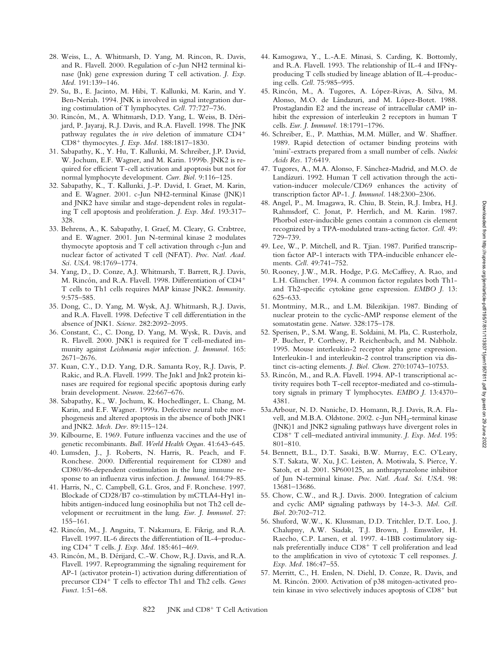- 28. Weiss, L., A. Whitmarsh, D. Yang, M. Rincon, R. Davis, and R. Flavell. 2000. Regulation of c-Jun NH2 terminal kinase (Jnk) gene expression during T cell activation. *J. Exp. Med.* 191:139–146.
- 29. Su, B., E. Jacinto, M. Hibi, T. Kallunki, M. Karin, and Y. Ben-Neriah. 1994. JNK is involved in signal integration during costimulation of T lymphocytes. *Cell.* 77:727–736.
- 30. Rincón, M., A. Whitmarsh, D.D. Yang, L. Weiss, B. Dérijard, P. Jayaraj, R.J. Davis, and R.A. Flavell. 1998. The JNK pathway regulates the *in vivo* deletion of immature CD4- CD8- thymocytes. *J. Exp. Med.* 188:1817–1830.
- 31. Sabapathy, K., Y. Hu, T. Kallunki, M. Schreiber, J.P. David, W. Jochum, E.F. Wagner, and M. Karin. 1999b. JNK2 is required for efficient T-cell activation and apoptosis but not for normal lymphocyte development. *Curr. Biol.* 9:116–125.
- 32. Sabapathy, K., T. Kallunki, J.-P. David, I. Graet, M. Karin, and E. Wagner. 2001. c-Jun NH2-terminal Kinase (JNK)1 and JNK2 have similar and stage-dependent roles in regulating T cell apoptosis and proliferation. *J. Exp. Med.* 193:317– 328.
- 33. Behrens, A., K. Sabapathy, I. Graef, M. Cleary, G. Crabtree, and E. Wagner. 2001. Jun N-terminal kinase 2 modulates thymocyte apoptosis and T cell activation through c-Jun and nuclear factor of activated T cell (NFAT). *Proc. Natl. Acad. Sci. USA.* 98:1769–1774.
- 34. Yang, D., D. Conze, A.J. Whitmarsh, T. Barrett, R.J. Davis, M. Rincón, and R.A. Flavell. 1998. Differentiation of CD4- T cells to Th1 cells requires MAP kinase JNK2. *Immunity.* 9:575–585.
- 35. Dong, C., D. Yang, M. Wysk, A.J. Whitmarsh, R.J. Davis, and R.A. Flavell. 1998. Defective T cell differentiation in the absence of JNK1. *Science.* 282:2092–2095.
- 36. Constant, C., C. Dong, D. Yang, M. Wysk, R. Davis, and R. Flavell. 2000. JNK1 is required for T cell-mediated immunity against *Leishmania major* infection. *J. Immunol.* 165: 2671–2676.
- 37. Kuan, C.Y., D.D. Yang, D.R. Samanta Roy, R.J. Davis, P. Rakic, and R.A. Flavell. 1999. The Jnk1 and Jnk2 protein kinases are required for regional specific apoptosis during early brain development. *Neuron.* 22:667–676.
- 38. Sabapathy, K., W. Jochum, K. Hochedlinger, L. Chang, M. Karin, and E.F. Wagner. 1999a. Defective neural tube morphogenesis and altered apoptosis in the absence of both JNK1 and JNK2. *Mech. Dev.* 89:115–124.
- 39. Kilbourne, E. 1969. Future influenza vaccines and the use of genetic recombinants. *Bull. World Health Organ.* 41:643–645.
- 40. Lumsden, J., J. Roberts, N. Harris, R. Peach, and F. Ronchese. 2000. Differential requirement for CD80 and CD80/86-dependent costimulation in the lung immune response to an influenza virus infection. *J. Immunol.* 164:79–85.
- 41. Harris, N., C. Campbell, G.L. Gros, and F. Ronchese. 1997. Blockade of CD28/B7 co-stimulation by mCTLA4-H $\gamma$ 1 inhibits antigen-induced lung eosinophilia but not Th2 cell development or recruitment in the lung. *Eur. J. Immunol.* 27: 155–161.
- 42. Rincón, M., J. Anguita, T. Nakamura, E. Fikrig, and R.A. Flavell. 1997. IL-6 directs the differentiation of IL-4–producing CD4- T cells. *J. Exp. Med.* 185:461–469.
- 43. Rincón, M., B. Dérijard, C.-W. Chow, R.J. Davis, and R.A. Flavell. 1997. Reprogramming the signaling requirement for AP-1 (activator protein-1) activation during differentiation of precursor CD4- T cells to effector Th1 and Th2 cells. *Genes Funct.* 1:51–68.
- 44. Kamogawa, Y., L.-A.E. Minasi, S. Carding, K. Bottomly, and R.A. Flavell. 1993. The relationship of IL-4 and IFN $\gamma$ producing T cells studied by lineage ablation of IL-4-producing cells. *Cell.* 75:985–995.
- 45. Rincón, M., A. Tugores, A. López-Rivas, A. Silva, M. Alonso, M.O. de Lándazuri, and M. López-Botet. 1988. Prostaglandin E2 and the increase of intracellular cAMP inhibit the expression of interleukin 2 receptors in human T cells. *Eur. J. Immunol.* 18:1791–1796.
- 46. Schreiber, E., P. Matthias, M.M. Müller, and W. Shaffner. 1989. Rapid detection of octamer binding proteins with 'mini'-extracts prepared from a small number of cells. *Nucleic Acids Res.* 17:6419.
- 47. Tugores, A., M.A. Alonso, F. Sánchez-Madrid, and M.O. de Landázuri. 1992. Human T cell activation through the activation-inducer molecule/CD69 enhances the activity of transcription factor AP-1. *J. Immunol.* 148:2300–2306.
- 48. Angel, P., M. Imagawa, R. Chiu, B. Stein, R.J. Imbra, H.J. Rahmsdorf, C. Jonat, P. Herrlich, and M. Karin. 1987. Phorbol ester-inducible genes contain a common cis element recognized by a TPA-modulated trans-acting factor. *Cell.* 49: 729–739.
- 49. Lee, W., P. Mitchell, and R. Tjian. 1987. Purified transcription factor AP-1 interacts with TPA-inducible enhancer elements. *Cell.* 49:741–752.
- 50. Rooney, J.W., M.R. Hodge, P.G. McCaffrey, A. Rao, and L.H. Glimcher. 1994. A common factor regulates both Th1 and Th2-specific cytokine gene expression. *EMBO J.* 13: 625–633.
- 51. Montminy, M.R., and L.M. Bilezikijan. 1987. Binding of nuclear protein to the cyclic-AMP response element of the somatostatin gene. *Nature.* 328:175–178.
- 52. Sperisen, P., S.M. Wang, E. Soldaini, M. Pla, C. Rusterholz, P. Bucher, P. Corthesy, P. Reichenbach, and M. Nabholz. 1995. Mouse interleukin-2 receptor alpha gene expression. Interleukin-1 and interleukin-2 control transcription via distinct cis-acting elements. *J. Biol. Chem.* 270:10743–10753.
- 53. Rincón, M., and R.A. Flavell. 1994. AP-1 transcriptional activity requires both T-cell receptor-mediated and co-stimulatory signals in primary T lymphocytes. *EMBO J.* 13:4370– 4381.
- 53a.Arbour, N. D. Naniche, D. Homann, R.J. Davis, R.A. Flavell, and M.B.A. Oldstone. 2002. c-Jun NH<sub>2</sub>-terminal kinase (JNK)1 and JNK2 signaling pathways have divergent roles in CD8- T cell–mediated antiviral immunity. *J. Exp. Med.* 195: 801–810.
- 54. Bennett, B.L., D.T. Sasaki, B.W. Murray, E.C. O'Leary, S.T. Sakata, W. Xu, J.C. Leisten, A. Motiwala, S. Pierce, Y. Satoh, et al. 2001. SP600125, an anthrapyrazolone inhibitor of Jun N-terminal kinase. *Proc. Natl. Acad. Sci. USA.* 98: 13681–13686.
- 55. Chow, C.W., and R.J. Davis. 2000. Integration of calcium and cyclic AMP signaling pathways by 14-3-3. *Mol. Cell. Biol.* 20:702–712.
- 56. Shuford, W.W., K. Klussman, D.D. Tritchler, D.T. Loo, J. Chalupny, A.W. Siadak, T.J. Brown, J. Emswiler, H. Raecho, C.P. Larsen, et al. 1997. 4-1BB costimulatory signals preferentially induce CD8<sup>+</sup> T cell proliferation and lead to the amplification in vivo of cytotoxic T cell responses. *J. Exp. Med.* 186:47–55.
- 57. Merritt, C., H. Enslen, N. Diehl, D. Conze, R. Davis, and M. Rincón. 2000. Activation of p38 mitogen-activated protein kinase in vivo selectively induces apoptosis of CD8<sup>+</sup> but